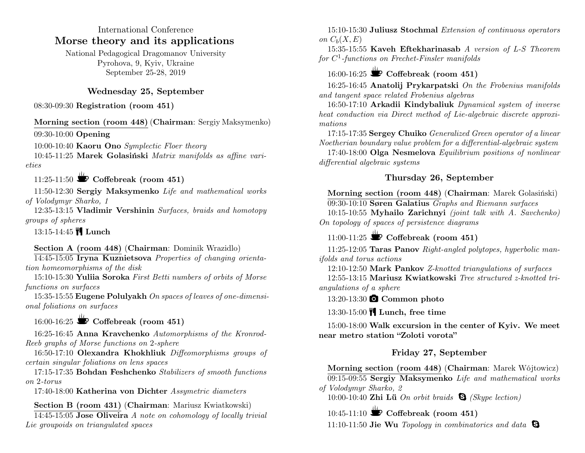## International Conference **Morse theory and its applications**

National Pedagogical Dragomanov University Pyrohova, 9, Kyiv, Ukraine September 25-28, 2019

## **Wednesday 25, September**

08:30-09:30 **Registration (room 451)**

#### **Morning section (room 448)** (**Chairman**: Sergiy Maksymenko)

09:30-10:00 **Opening**

10:00-10:40 **Kaoru Ono** *Symplectic Floer theory*

10:45-11:25 **Marek Golasiński** *Matrix manifolds as affine varieties*

## 11:25-11:50  $\bullet$  Coffebreak (room 451)

11:50-12:30 **Sergiy Maksymenko** *Life and mathematical works of Volodymyr Sharko, 1*

12:35-13:15 **Vladimir Vershinin** *Surfaces, braids and homotopy groups of spheres*

13:15-14:45 **Lunch**

## **Section A (room 448)** (**Chairman**: Dominik Wrazidlo)

14:45-15:05 **Iryna Kuznietsova** *Properties of changing orientation homeomorphisms of the disk*

15:10-15:30 **Yuliia Soroka** *First Betti numbers of orbits of Morse functions on surfaces*

15:35-15:55 **Eugene Polulyakh** *On spaces of leaves of one-dimensional foliations on surfaces*

# 16:00-16:25  $\bullet$  Coffebreak (room 451)

16:25-16:45 **Anna Kravchenko** *Automorphisms of the Kronrod-Reeb graphs of Morse functions on* 2*-sphere*

16:50-17:10 **Olexandra Khokhliuk** *Diffeomorphisms groups of certain singular foliations on lens spaces*

17:15-17:35 **Bohdan Feshchenko** *Stabilizers of smooth functions on* 2*-torus*

17:40-18:00 **Katherina von Dichter** *Assymetric diameters*

**Section B (room 431)** (**Chairman**: Mariusz Kwiatkowski)

14:45-15:05 **Jose Oliveira** *A note on cohomology of locally trivial Lie groupoids on triangulated spaces*

15:10-15:30 **Juliusz Stochmal** *Extension of continuous operators on*  $C_b(X, E)$ 

15:35-15:55 **Kaveh Eftekharinasab** *A version of L-S Theorem for C* 1 *-functions on Frechet-Finsler manifolds*

## 16:00-16:25  $\bullet$  Coffebreak (room 451)

16:25-16:45 **Anatolij Prykarpatski** *On the Frobenius manifolds and tangent space related Frobenius algebras*

16:50-17:10 **Arkadii Kindybaliuk** *Dynamical system of inverse heat conduction via Direct method of Lie-algebraic discrete approximations*

17:15-17:35 **Sergey Chuiko** *Generalized Green operator of a linear Noetherian boundary value problem for a differential-algebraic system*

17:40-18:00 **Olga Nesmelova** *Equilibrium positions of nonlinear differential algebraic systems*

## **Thursday 26, September**

**Morning section (room 448)** (**Chairman**: Marek Golasiński) 09:30-10:10 **Søren Galatius** *Graphs and Riemann surfaces*

10:15-10:55 **Myhailo Zarichnyi** *(joint talk with A. Savchenko) On topology of spaces of persistence diagrams*

## 11:00-11:25 **S** Coffebreak (room 451)

11:25-12:05 **Taras Panov** *Right-angled polytopes, hyperbolic manifolds and torus actions*

12:10-12:50 **Mark Pankov** *Z-knotted triangulations of surfaces* 12:55-13:15 **Mariusz Kwiatkowski** *Tree structured z-knotted triangulations of a sphere*

13:20-13:30 **Common photo**

13:30-15:00 **Lunch, free time**

15:00-18:00 **Walk excursion in the center of Kyiv. We meet near metro station "Zoloti vorota"**

## **Friday 27, September**

**Morning section (room 448)** (**Chairman**: Marek Wójtowicz) 09:15-09:55 **Sergiy Maksymenko** *Life and mathematical works of Volodymyr Sharko, 2*

10:00-10:40 **Zhi Lü** *On orbit braids (Skype lection)*

10:45-11:10 Coffebreak (room 451)

11:10-11:50 **Jie Wu** *Topology in combinatorics and data*